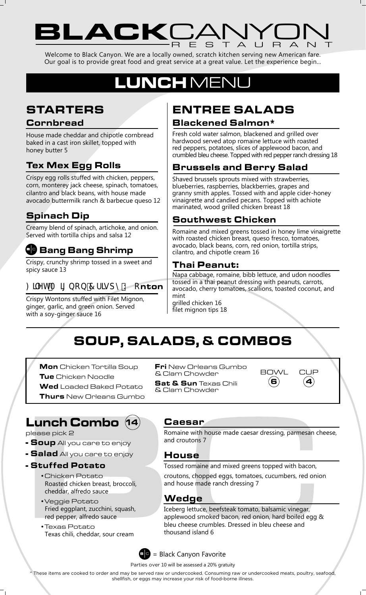# LACKLANYU RESTAURANT

Welcome to Black Canyon. We are a locally owned, scratch kitchen serving new American fare. Our goal is to provide great food and great service at a great value. Let the experience begin...

# LUNCHMEN

# STARTERS

#### **Cornbread**

House made cheddar and chipotle cornbread baked in a cast iron skillet, topped with honey butter 5

### Tex Mex Egg Rolls

Crispy egg rolls stuffed with chicken, peppers, corn, monterey jack cheese, spinach, tomatoes, cilantro and black beans, with house made avocado buttermilk ranch & barbecue queso 12

### Spinach Dip

Creamy blend of spinach, artichoke, and onion. Served with tortilla chips and salsa 12

## **QD** Bang Bang Shrimp

Crispy, crunchy shrimp tossed in a sweet and spicy sauce 13

### : JYhA ][ bcb 7 f]gdmK cnton

Crispy Wontons stuffed with Filet Mignon, ginger, garlic, and green onion. Served with a soy-ginger sauce 16

## ENTREE SALADS Blackened Salmon\*

Fresh cold water salmon, blackened and grilled over hardwood served atop romaine lettuce with roasted red peppers, potatoes, slices of applewood bacon, and crumbled bleu cheese. Topped with red pepper ranch dressing 18

### Brussels and Berry Salad

Shaved brussels sprouts mixed with strawberries, blueberries, raspberries, blackberries, grapes and granny smith apples. Tossed with and apple cider-honey vinaigrette and candied pecans. Topped with achiote marinated, wood grilled chicken breast 18

### Southwest Chicken

Romaine and mixed greens tossed in honey lime vinaigrette with roasted chicken breast, queso fresco, tomatoes, avocado, black beans, corn, red onion, tortilla strips, cilantro, and chipotle cream 16

#### Thai Peanut:

Napa cabbage, romaine, bibb lettuce, and udon noodles tossed in a thai peanut dressing with peanuts, carrots, avocado, cherry tomatoes, scallions, toasted coconut, and mint

grilled chicken 16 filet mignon tips 18

# SOUP, SALADS, & COMBOS

Mon Chicken Tortilla Soup **Tue** Chicken Noodle

Wed Loaded Baked Potato

**Thurs** New Orleans Gumbo

# Lunch Combo 14

please pick 2

**- Soup** All you care to enjoy

- **Salad** All you care to enjoy
- Stuffed Potato
	- •Chicken Potato Roasted chicken breast, broccoli, cheddar, alfredo sauce
	- •Veggie Potato Fried eggplant, zucchini, squash, red pepper, alfredo sauce
	- •Texas Potato Texas chili, cheddar, sour cream

**Fri** New Orleans Gumbo & Clam Chowder

**Sat & Sun** Texas Chili & Clam Chowder

BOWL CUP (6) (4

#### Caesar

Romaine with house made caesar dressing, parmesan cheese, and croutons 7

### House

Tossed romaine and mixed greens topped with bacon, croutons, chopped eggs, tomatoes, cucumbers, red onion and house made ranch dressing 7

### Wedge

Iceberg lettuce, beefsteak tomato, balsamic vinegar, applewood smoked bacon, red onion, hard boiled egg & bleu cheese crumbles. Dressed in bleu cheese and thousand island 6



Parties over 10 will be assessed a 20% gratuity

\* These items are cooked to order and may be served raw or undercooked. Consuming raw or undercooked meats, poultry, seafood, shellfish, or eggs may increase your risk of food-borne illness.